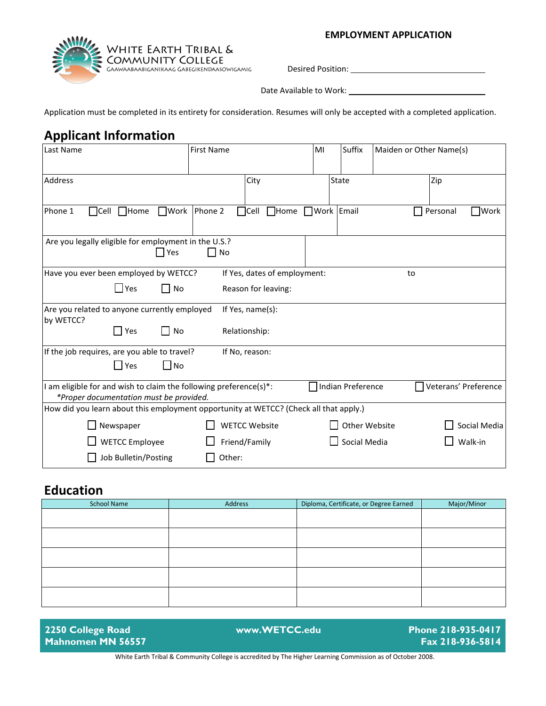# WHITE EARTH TRIBAL &<br>COMMUNITY COLLEGE<br>GAAWAABAABIGANIKAAG GABEGIKENDAASOWIGAMIG

**EMPLOYMENT APPLICATION**

Desired Position:

Date Available to Work:

Application must be completed in its entirety for consideration. Resumes will only be accepted with a completed application.

#### **Applicant Information**

| Last Name                                                                                                    | <b>First Name</b>                        | MI<br>Suffix       |               | Maiden or Other Name(s) |
|--------------------------------------------------------------------------------------------------------------|------------------------------------------|--------------------|---------------|-------------------------|
| Address                                                                                                      | City                                     | State              |               | Zip                     |
|                                                                                                              |                                          |                    |               |                         |
| Phone 1<br>$\Box$ Home<br>$\square$ Work<br>$\Box$ Cell                                                      | Phone 2<br>$\bigcap$ Cell<br>$\Box$ Home | ■Work Email        |               | Personal<br>]Work<br>H  |
| Are you legally eligible for employment in the U.S.?<br>  Yes                                                | $\Box$ No                                |                    |               |                         |
| Have you ever been employed by WETCC?                                                                        | If Yes, dates of employment:             |                    |               | to                      |
| $\Box$ Yes<br>l I No                                                                                         | Reason for leaving:                      |                    |               |                         |
| Are you related to anyone currently employed<br>by WETCC?                                                    | If Yes, name(s):                         |                    |               |                         |
| $\prod$ Yes<br>l I No                                                                                        | Relationship:                            |                    |               |                         |
| If the job requires, are you able to travel?                                                                 | If No, reason:                           |                    |               |                         |
| $\Box$ Yes<br>$\Box$ No                                                                                      |                                          |                    |               |                         |
| I am eligible for and wish to claim the following preference(s)*:<br>*Proper documentation must be provided. |                                          | □Indian Preference |               | Veterans' Preference    |
| How did you learn about this employment opportunity at WETCC? (Check all that apply.)                        |                                          |                    |               |                         |
| $\Box$ Newspaper                                                                                             | <b>WETCC Website</b>                     |                    | Other Website | Social Media            |
| <b>WETCC Employee</b>                                                                                        | Friend/Family                            |                    | Social Media  | Walk-in                 |
| Job Bulletin/Posting                                                                                         | Other:                                   |                    |               |                         |

#### **Education**

| <b>School Name</b> | Address | Diploma, Certificate, or Degree Earned | Major/Minor |
|--------------------|---------|----------------------------------------|-------------|
|                    |         |                                        |             |
|                    |         |                                        |             |
|                    |         |                                        |             |
|                    |         |                                        |             |
|                    |         |                                        |             |
|                    |         |                                        |             |
|                    |         |                                        |             |
|                    |         |                                        |             |

**2250 College Road Mahnomen MN 56557 www.WETCC.edu Phone 218-935-0417 Fax 218-936-5814** White Earth Tribal & Community College is accredited by The Higher Learning Commission as of October 2008.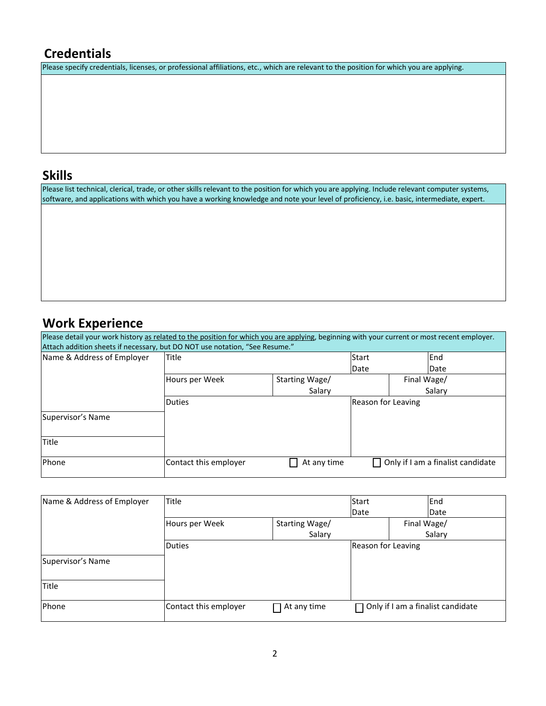## **Credentials**

Please specify credentials, licenses, or professional affiliations, etc., which are relevant to the position for which you are applying.

#### **Skills**

Please list technical, clerical, trade, or other skills relevant to the position for which you are applying. Include relevant computer systems, software, and applications with which you have a working knowledge and note your level of proficiency, i.e. basic, intermediate, expert.

## **Work Experience**

| Please detail your work history as related to the position for which you are applying, beginning with your current or most recent employer. |                       |                |                    |                                          |
|---------------------------------------------------------------------------------------------------------------------------------------------|-----------------------|----------------|--------------------|------------------------------------------|
| Attach addition sheets if necessary, but DO NOT use notation, "See Resume."                                                                 |                       |                |                    |                                          |
| Name & Address of Employer                                                                                                                  | <b>Title</b>          |                | <b>Start</b>       | End                                      |
|                                                                                                                                             |                       |                | Date               | Date                                     |
|                                                                                                                                             | Hours per Week        | Starting Wage/ |                    | Final Wage/                              |
|                                                                                                                                             |                       | Salary         |                    | Salary                                   |
|                                                                                                                                             | <b>Duties</b>         |                | Reason for Leaving |                                          |
| Supervisor's Name                                                                                                                           |                       |                |                    |                                          |
| Title                                                                                                                                       |                       |                |                    |                                          |
| <b>IPhone</b>                                                                                                                               | Contact this employer | At any time    |                    | $\Box$ Only if I am a finalist candidate |

| Name & Address of Employer | Title                 |                | Start              |             | End                                      |
|----------------------------|-----------------------|----------------|--------------------|-------------|------------------------------------------|
|                            |                       |                | Date               |             | Date                                     |
|                            | Hours per Week        | Starting Wage/ |                    | Final Wage/ |                                          |
|                            |                       | Salary         |                    |             | Salary                                   |
|                            | <b>Duties</b>         |                | Reason for Leaving |             |                                          |
| Supervisor's Name          |                       |                |                    |             |                                          |
| <b>Title</b>               |                       |                |                    |             |                                          |
| Phone                      | Contact this employer | At any time    |                    |             | $\Box$ Only if I am a finalist candidate |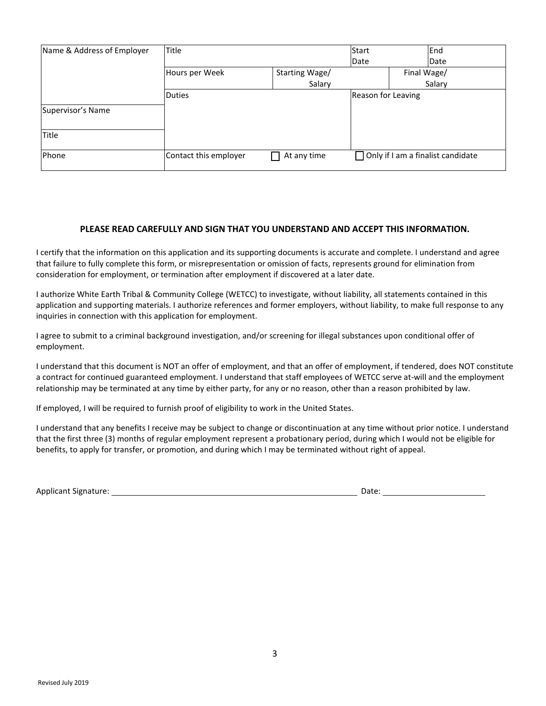| Name & Address of Employer | Title                 |                | Start              | End                                      |
|----------------------------|-----------------------|----------------|--------------------|------------------------------------------|
|                            |                       |                | Date               | Date                                     |
|                            | Hours per Week        | Starting Wage/ |                    | Final Wage/                              |
|                            |                       | Salary         |                    | Salary                                   |
|                            | <b>Duties</b>         |                | Reason for Leaving |                                          |
| Supervisor's Name          |                       |                |                    |                                          |
| <b>Title</b>               |                       |                |                    |                                          |
| Phone                      | Contact this employer | At any time    |                    | $\Box$ Only if I am a finalist candidate |

#### **PLEASE READ CAREFULLY AND SIGN THAT YOU UNDERSTAND AND ACCEPT THIS INFORMATION.**

I certify that the information on this application and its supporting documents is accurate and complete. I understand and agree that failure to fully complete this form, or misrepresentation or omission of facts, represents ground for elimination from consideration for employment, or termination after employment if discovered at a later date.

I authorize White Earth Tribal & Community College (WETCC) to investigate, without liability, all statements contained in this application and supporting materials. I authorize references and former employers, without liability, to make full response to any inquiries in connection with this application for employment.

I agree to submit to a criminal background investigation, and/or screening for illegal substances upon conditional offer of employment.

I understand that this document is NOT an offer of employment, and that an offer of employment, if tendered, does NOT constitute a contract for continued guaranteed employment. I understand that staff employees of WETCC serve at-will and the employment relationship may be terminated at any time by either party, for any or no reason, other than a reason prohibited by law.

If employed, I will be required to furnish proof of eligibility to work in the United States.

I understand that any benefits I receive may be subject to change or discontinuation at any time without prior notice. I understand that the first three (3) months of regular employment represent a probationary period, during which I would not be eligible for benefits, to apply for transfer, or promotion, and during which I may be terminated without right of appeal.

| <b>Applicant Signature:</b> | Date: |
|-----------------------------|-------|
|                             |       |